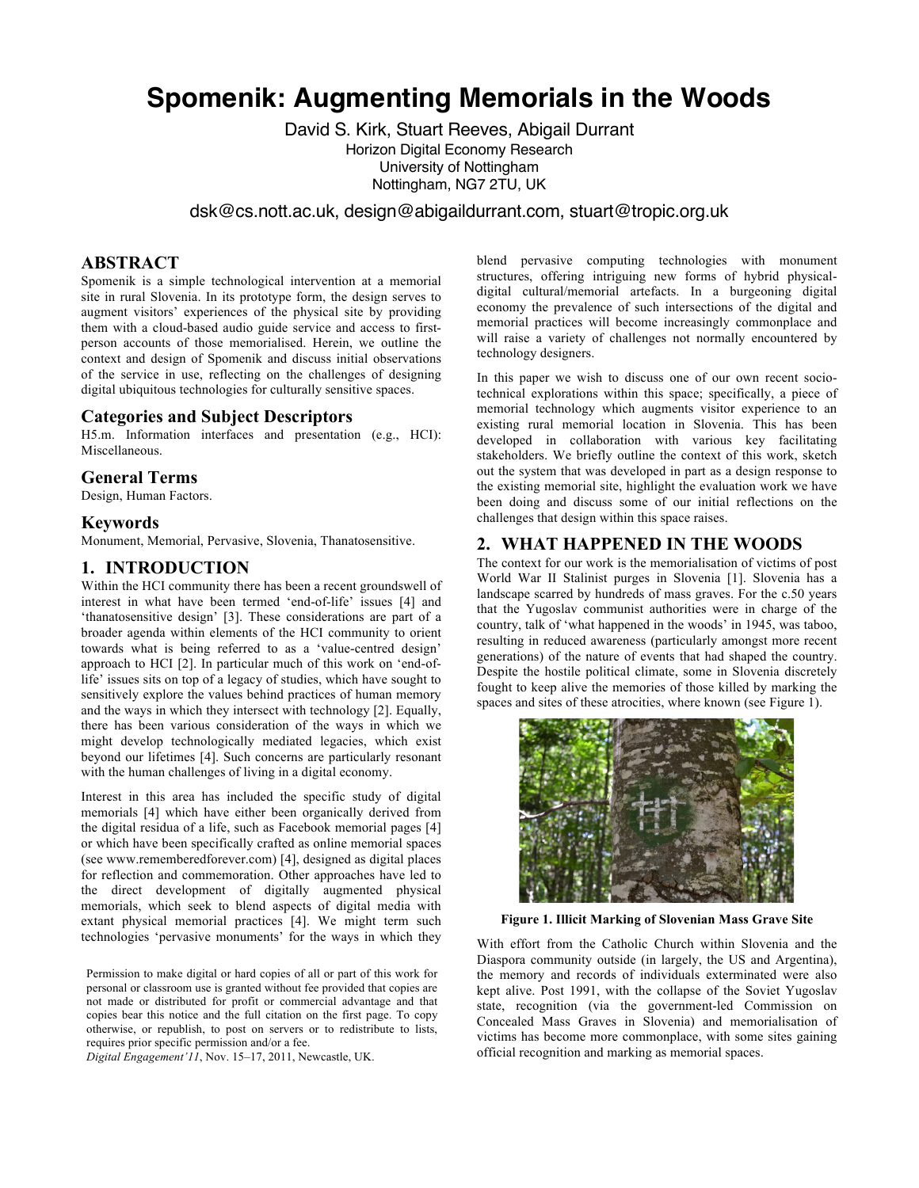# **Spomenik: Augmenting Memorials in the Woods**

David S. Kirk, Stuart Reeves, Abigail Durrant Horizon Digital Economy Research University of Nottingham Nottingham, NG7 2TU, UK

dsk@cs.nott.ac.uk, design@abigaildurrant.com, stuart@tropic.org.uk

# **ABSTRACT**

Spomenik is a simple technological intervention at a memorial site in rural Slovenia. In its prototype form, the design serves to augment visitors' experiences of the physical site by providing them with a cloud-based audio guide service and access to firstperson accounts of those memorialised. Herein, we outline the context and design of Spomenik and discuss initial observations of the service in use, reflecting on the challenges of designing digital ubiquitous technologies for culturally sensitive spaces.

#### **Categories and Subject Descriptors**

H5.m. Information interfaces and presentation (e.g., HCI): Miscellaneous.

#### **General Terms**

Design, Human Factors.

#### **Keywords**

Monument, Memorial, Pervasive, Slovenia, Thanatosensitive.

## **1. INTRODUCTION**

Within the HCI community there has been a recent groundswell of interest in what have been termed 'end-of-life' issues [4] and 'thanatosensitive design' [3]. These considerations are part of a broader agenda within elements of the HCI community to orient towards what is being referred to as a 'value-centred design' approach to HCI [2]. In particular much of this work on 'end-oflife' issues sits on top of a legacy of studies, which have sought to sensitively explore the values behind practices of human memory and the ways in which they intersect with technology [2]. Equally, there has been various consideration of the ways in which we might develop technologically mediated legacies, which exist beyond our lifetimes [4]. Such concerns are particularly resonant with the human challenges of living in a digital economy.

Interest in this area has included the specific study of digital memorials [4] which have either been organically derived from the digital residua of a life, such as Facebook memorial pages [4] or which have been specifically crafted as online memorial spaces (see www.rememberedforever.com) [4], designed as digital places for reflection and commemoration. Other approaches have led to the direct development of digitally augmented physical memorials, which seek to blend aspects of digital media with extant physical memorial practices [4]. We might term such technologies 'pervasive monuments' for the ways in which they

Permission to make digital or hard copies of all or part of this work for personal or classroom use is granted without fee provided that copies are not made or distributed for profit or commercial advantage and that copies bear this notice and the full citation on the first page. To copy otherwise, or republish, to post on servers or to redistribute to lists, requires prior specific permission and/or a fee.

*Digital Engagement'11*, Nov. 15–17, 2011, Newcastle, UK.

blend pervasive computing technologies with monument structures, offering intriguing new forms of hybrid physicaldigital cultural/memorial artefacts. In a burgeoning digital economy the prevalence of such intersections of the digital and memorial practices will become increasingly commonplace and will raise a variety of challenges not normally encountered by technology designers.

In this paper we wish to discuss one of our own recent sociotechnical explorations within this space; specifically, a piece of memorial technology which augments visitor experience to an existing rural memorial location in Slovenia. This has been developed in collaboration with various key facilitating stakeholders. We briefly outline the context of this work, sketch out the system that was developed in part as a design response to the existing memorial site, highlight the evaluation work we have been doing and discuss some of our initial reflections on the challenges that design within this space raises.

# **2. WHAT HAPPENED IN THE WOODS**

The context for our work is the memorialisation of victims of post World War II Stalinist purges in Slovenia [1]. Slovenia has a landscape scarred by hundreds of mass graves. For the c.50 years that the Yugoslav communist authorities were in charge of the country, talk of 'what happened in the woods' in 1945, was taboo, resulting in reduced awareness (particularly amongst more recent generations) of the nature of events that had shaped the country. Despite the hostile political climate, some in Slovenia discretely fought to keep alive the memories of those killed by marking the spaces and sites of these atrocities, where known (see Figure 1).



**Figure 1. Illicit Marking of Slovenian Mass Grave Site**

With effort from the Catholic Church within Slovenia and the Diaspora community outside (in largely, the US and Argentina), the memory and records of individuals exterminated were also kept alive. Post 1991, with the collapse of the Soviet Yugoslav state, recognition (via the government-led Commission on Concealed Mass Graves in Slovenia) and memorialisation of victims has become more commonplace, with some sites gaining official recognition and marking as memorial spaces.